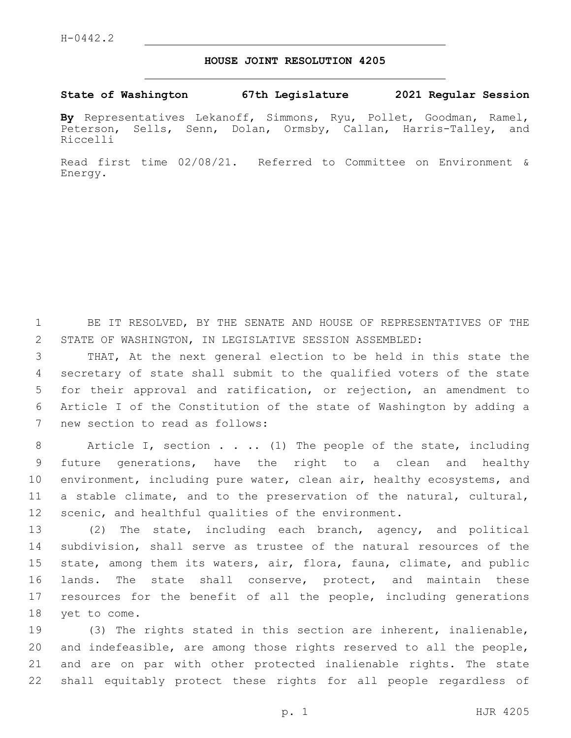## **HOUSE JOINT RESOLUTION 4205**

## **State of Washington 67th Legislature 2021 Regular Session**

**By** Representatives Lekanoff, Simmons, Ryu, Pollet, Goodman, Ramel, Peterson, Sells, Senn, Dolan, Ormsby, Callan, Harris-Talley, and Riccelli

Read first time 02/08/21. Referred to Committee on Environment & Energy.

 BE IT RESOLVED, BY THE SENATE AND HOUSE OF REPRESENTATIVES OF THE STATE OF WASHINGTON, IN LEGISLATIVE SESSION ASSEMBLED:

 THAT, At the next general election to be held in this state the secretary of state shall submit to the qualified voters of the state for their approval and ratification, or rejection, an amendment to Article I of the Constitution of the state of Washington by adding a 7 new section to read as follows:

8 Article I, section . . . (1) The people of the state, including future generations, have the right to a clean and healthy environment, including pure water, clean air, healthy ecosystems, and a stable climate, and to the preservation of the natural, cultural, scenic, and healthful qualities of the environment.

 (2) The state, including each branch, agency, and political subdivision, shall serve as trustee of the natural resources of the state, among them its waters, air, flora, fauna, climate, and public lands. The state shall conserve, protect, and maintain these resources for the benefit of all the people, including generations 18 yet to come.

 (3) The rights stated in this section are inherent, inalienable, and indefeasible, are among those rights reserved to all the people, and are on par with other protected inalienable rights. The state shall equitably protect these rights for all people regardless of